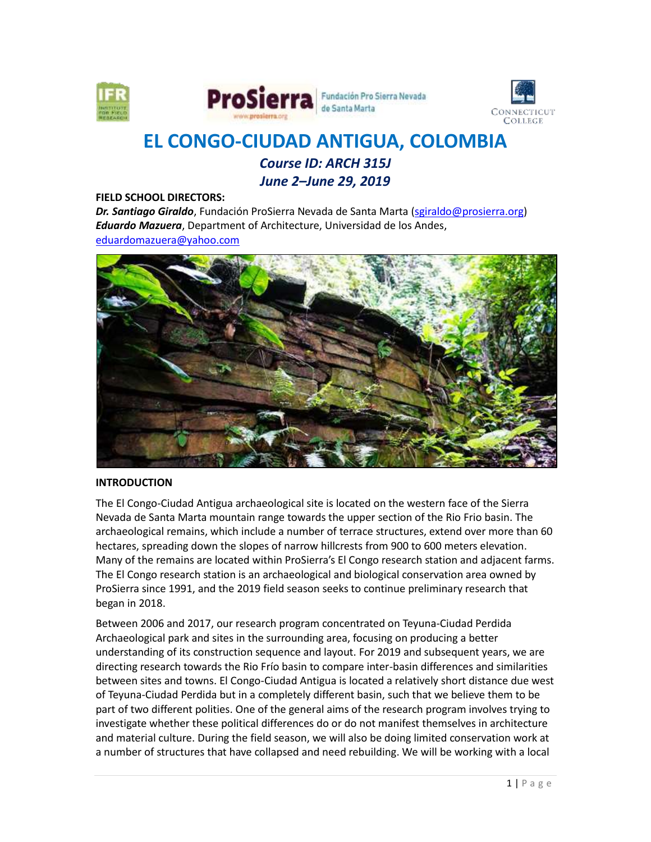



# **EL CONGO-CIUDAD ANTIGUA, COLOMBIA** *Course ID: ARCH 315J*

*June 2–June 29, 2019*

#### **FIELD SCHOOL DIRECTORS:**

*Dr. Santiago Giraldo*, Fundación ProSierra Nevada de Santa Marta [\(sgiraldo@prosierra.org\)](mailto:sgiraldo@prosierra.org) *Eduardo Mazuera*, Department of Architecture, Universidad de los Andes, [eduardomazuera@yahoo.com](mailto:eduardomazuera@yahoo.com)



#### **INTRODUCTION**

The El Congo-Ciudad Antigua archaeological site is located on the western face of the Sierra Nevada de Santa Marta mountain range towards the upper section of the Rio Frio basin. The archaeological remains, which include a number of terrace structures, extend over more than 60 hectares, spreading down the slopes of narrow hillcrests from 900 to 600 meters elevation. Many of the remains are located within ProSierra's El Congo research station and adjacent farms. The El Congo research station is an archaeological and biological conservation area owned by ProSierra since 1991, and the 2019 field season seeks to continue preliminary research that began in 2018.

Between 2006 and 2017, our research program concentrated on Teyuna-Ciudad Perdida Archaeological park and sites in the surrounding area, focusing on producing a better understanding of its construction sequence and layout. For 2019 and subsequent years, we are directing research towards the Rio Frío basin to compare inter-basin differences and similarities between sites and towns. El Congo-Ciudad Antigua is located a relatively short distance due west of Teyuna-Ciudad Perdida but in a completely different basin, such that we believe them to be part of two different polities. One of the general aims of the research program involves trying to investigate whether these political differences do or do not manifest themselves in architecture and material culture. During the field season, we will also be doing limited conservation work at a number of structures that have collapsed and need rebuilding. We will be working with a local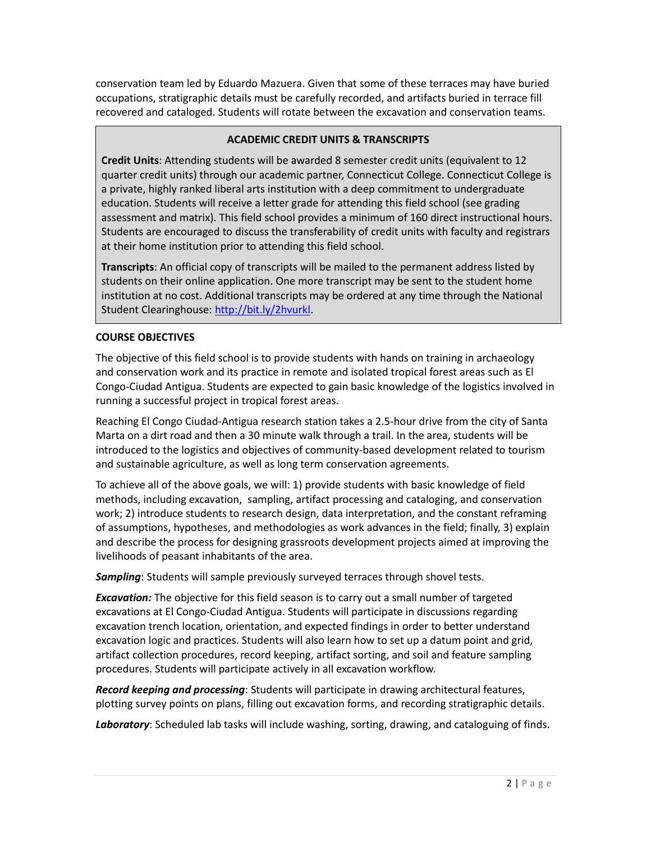conservation team led by Eduardo Mazuera. Given that some of these terraces may have buried occupations, stratigraphic details must be carefully recorded, and artifacts buried in terrace fill recovered and cataloged. Students will rotate between the excavation and conservation teams.

# **ACADEMIC CREDIT UNITS & TRANSCRIPTS**

**Credit Units**: Attending students will be awarded 8 semester credit units (equivalent to 12 quarter credit units) through our academic partner, Connecticut College. Connecticut College is a private, highly ranked liberal arts institution with a deep commitment to undergraduate education. Students will receive a letter grade for attending this field school (see grading assessment and matrix). This field school provides a minimum of 160 direct instructional hours. Students are encouraged to discuss the transferability of credit units with faculty and registrars at their home institution prior to attending this field school.

**Transcripts**: An official copy of transcripts will be mailed to the permanent address listed by students on their online application. One more transcript may be sent to the student home institution at no cost. Additional transcripts may be ordered at any time through the National Student Clearinghouse: [http://bit.ly/2hvurkl.](http://bit.ly/2hvurkl)

## **COURSE OBJECTIVES**

The objective of this field school is to provide students with hands on training in archaeology and conservation work and its practice in remote and isolated tropical forest areas such as El Congo-Ciudad Antigua. Students are expected to gain basic knowledge of the logistics involved in running a successful project in tropical forest areas.

Reaching El Congo Ciudad-Antigua research station takes a 2.5-hour drive from the city of Santa Marta on a dirt road and then a 30 minute walk through a trail. In the area, students will be introduced to the logistics and objectives of community-based development related to tourism and sustainable agriculture, as well as long term conservation agreements.

To achieve all of the above goals, we will: 1) provide students with basic knowledge of field methods, including excavation, sampling, artifact processing and cataloging, and conservation work; 2) introduce students to research design, data interpretation, and the constant reframing of assumptions, hypotheses, and methodologies as work advances in the field; finally, 3) explain and describe the process for designing grassroots development projects aimed at improving the livelihoods of peasant inhabitants of the area.

*Sampling*: Students will sample previously surveyed terraces through shovel tests.

*Excavation:* The objective for this field season is to carry out a small number of targeted excavations at El Congo-Ciudad Antigua. Students will participate in discussions regarding excavation trench location, orientation, and expected findings in order to better understand excavation logic and practices. Students will also learn how to set up a datum point and grid, artifact collection procedures, record keeping, artifact sorting, and soil and feature sampling procedures. Students will participate actively in all excavation workflow.

*Record keeping and processing*: Students will participate in drawing architectural features, plotting survey points on plans, filling out excavation forms, and recording stratigraphic details.

*Laboratory*: Scheduled lab tasks will include washing, sorting, drawing, and cataloguing of finds.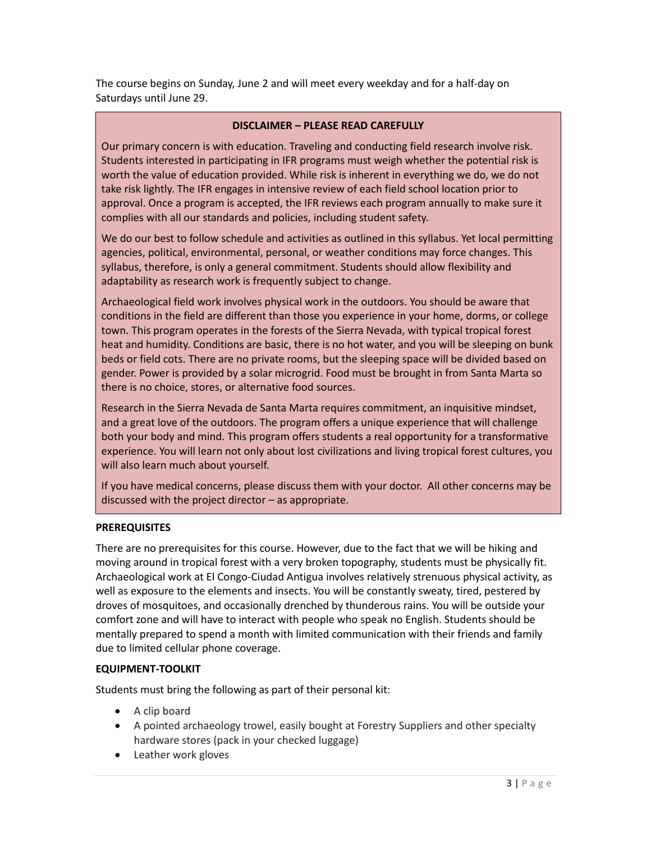The course begins on Sunday, June 2 and will meet every weekday and for a half-day on Saturdays until June 29.

## **DISCLAIMER – PLEASE READ CAREFULLY**

Our primary concern is with education. Traveling and conducting field research involve risk. Students interested in participating in IFR programs must weigh whether the potential risk is worth the value of education provided. While risk is inherent in everything we do, we do not take risk lightly. The IFR engages in intensive review of each field school location prior to approval. Once a program is accepted, the IFR reviews each program annually to make sure it complies with all our standards and policies, including student safety.

We do our best to follow schedule and activities as outlined in this syllabus. Yet local permitting agencies, political, environmental, personal, or weather conditions may force changes. This syllabus, therefore, is only a general commitment. Students should allow flexibility and adaptability as research work is frequently subject to change.

Archaeological field work involves physical work in the outdoors. You should be aware that conditions in the field are different than those you experience in your home, dorms, or college town. This program operates in the forests of the Sierra Nevada, with typical tropical forest heat and humidity. Conditions are basic, there is no hot water, and you will be sleeping on bunk beds or field cots. There are no private rooms, but the sleeping space will be divided based on gender. Power is provided by a solar microgrid. Food must be brought in from Santa Marta so there is no choice, stores, or alternative food sources.

Research in the Sierra Nevada de Santa Marta requires commitment, an inquisitive mindset, and a great love of the outdoors. The program offers a unique experience that will challenge both your body and mind. This program offers students a real opportunity for a transformative experience. You will learn not only about lost civilizations and living tropical forest cultures, you will also learn much about yourself.

If you have medical concerns, please discuss them with your doctor. All other concerns may be discussed with the project director – as appropriate.

## **PREREQUISITES**

There are no prerequisites for this course. However, due to the fact that we will be hiking and moving around in tropical forest with a very broken topography, students must be physically fit. Archaeological work at El Congo-Ciudad Antigua involves relatively strenuous physical activity, as well as exposure to the elements and insects. You will be constantly sweaty, tired, pestered by droves of mosquitoes, and occasionally drenched by thunderous rains. You will be outside your comfort zone and will have to interact with people who speak no English. Students should be mentally prepared to spend a month with limited communication with their friends and family due to limited cellular phone coverage.

# **EQUIPMENT-TOOLKIT**

Students must bring the following as part of their personal kit:

- A clip board
- A pointed archaeology trowel, easily bought at Forestry Suppliers and other specialty hardware stores (pack in your checked luggage)
- Leather work gloves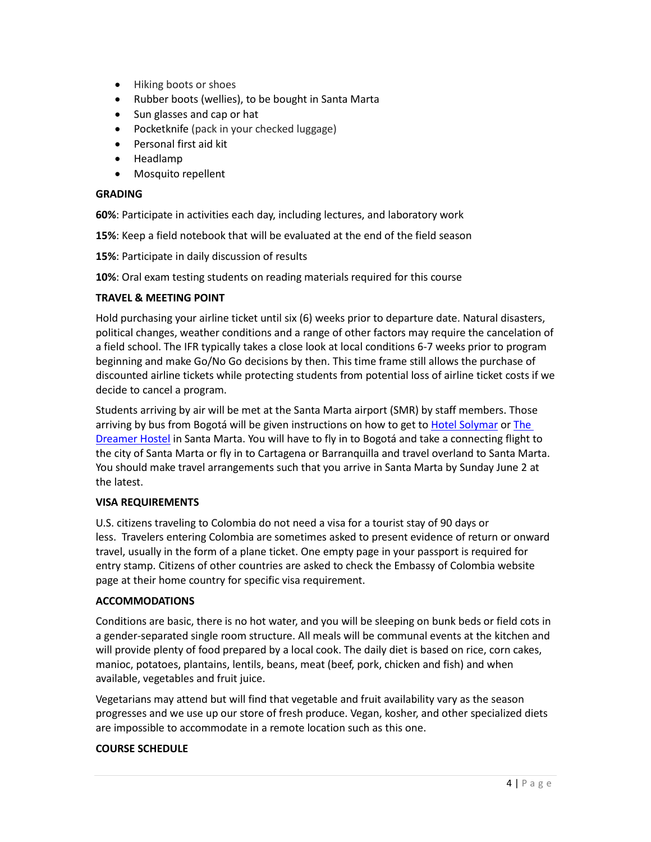- Hiking boots or shoes
- Rubber boots (wellies), to be bought in Santa Marta
- Sun glasses and cap or hat
- Pocketknife (pack in your checked luggage)
- Personal first aid kit
- Headlamp
- Mosquito repellent

## **GRADING**

**60%**: Participate in activities each day, including lectures, and laboratory work

- **15%**: Keep a field notebook that will be evaluated at the end of the field season
- **15%**: Participate in daily discussion of results
- **10%**: Oral exam testing students on reading materials required for this course

## **TRAVEL & MEETING POINT**

Hold purchasing your airline ticket until six (6) weeks prior to departure date. Natural disasters, political changes, weather conditions and a range of other factors may require the cancelation of a field school. The IFR typically takes a close look at local conditions 6-7 weeks prior to program beginning and make Go/No Go decisions by then. This time frame still allows the purchase of discounted airline tickets while protecting students from potential loss of airline ticket costs if we decide to cancel a program.

Students arriving by air will be met at the Santa Marta airport (SMR) by staff members. Those arriving by bus from Bogotá will be given instructions on how to get t[o Hotel Solymar](http://www.solymarhostal.com/) or The [Dreamer Hostel](http://www.thedreamerhostel.com/) in Santa Marta. You will have to fly in to Bogotá and take a connecting flight to the city of Santa Marta or fly in to Cartagena or Barranquilla and travel overland to Santa Marta. You should make travel arrangements such that you arrive in Santa Marta by Sunday June 2 at the latest.

## **VISA REQUIREMENTS**

U.S. citizens traveling to Colombia do not need a visa for a tourist stay of 90 days or less. Travelers entering Colombia are sometimes asked to present evidence of return or onward travel, usually in the form of a plane ticket. One empty page in your passport is required for entry stamp. Citizens of other countries are asked to check the Embassy of Colombia website page at their home country for specific visa requirement.

## **ACCOMMODATIONS**

Conditions are basic, there is no hot water, and you will be sleeping on bunk beds or field cots in a gender-separated single room structure. All meals will be communal events at the kitchen and will provide plenty of food prepared by a local cook. The daily diet is based on rice, corn cakes, manioc, potatoes, plantains, lentils, beans, meat (beef, pork, chicken and fish) and when available, vegetables and fruit juice.

Vegetarians may attend but will find that vegetable and fruit availability vary as the season progresses and we use up our store of fresh produce. Vegan, kosher, and other specialized diets are impossible to accommodate in a remote location such as this one.

# **COURSE SCHEDULE**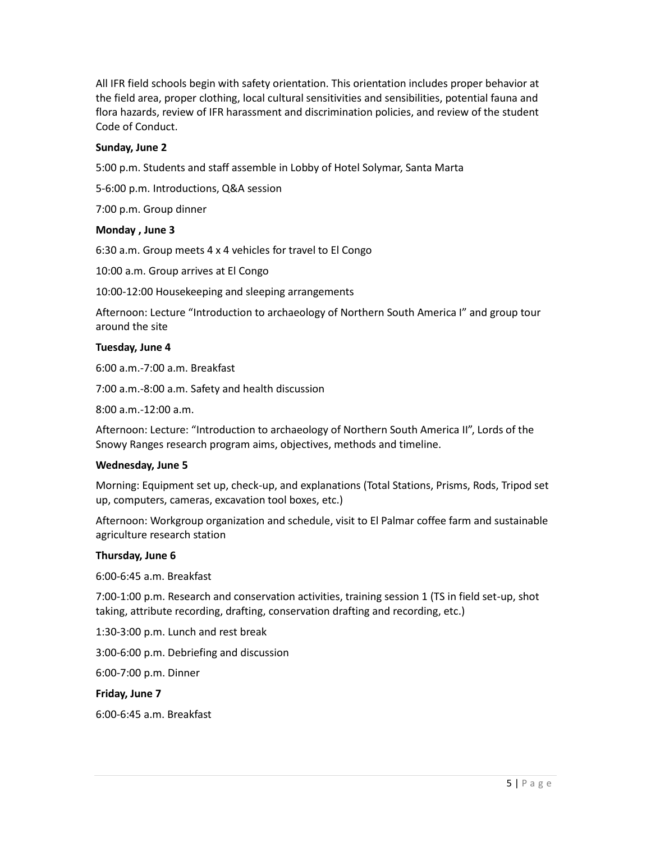All IFR field schools begin with safety orientation. This orientation includes proper behavior at the field area, proper clothing, local cultural sensitivities and sensibilities, potential fauna and flora hazards, review of IFR harassment and discrimination policies, and review of the student Code of Conduct.

## **Sunday, June 2**

5:00 p.m. Students and staff assemble in Lobby of Hotel Solymar, Santa Marta

5-6:00 p.m. Introductions, Q&A session

7:00 p.m. Group dinner

#### **Monday , June 3**

6:30 a.m. Group meets 4 x 4 vehicles for travel to El Congo

10:00 a.m. Group arrives at El Congo

10:00-12:00 Housekeeping and sleeping arrangements

Afternoon: Lecture "Introduction to archaeology of Northern South America I" and group tour around the site

#### **Tuesday, June 4**

6:00 a.m.-7:00 a.m. Breakfast

7:00 a.m.-8:00 a.m. Safety and health discussion

8:00 a.m.-12:00 a.m.

Afternoon: Lecture: "Introduction to archaeology of Northern South America II", Lords of the Snowy Ranges research program aims, objectives, methods and timeline.

#### **Wednesday, June 5**

Morning: Equipment set up, check-up, and explanations (Total Stations, Prisms, Rods, Tripod set up, computers, cameras, excavation tool boxes, etc.)

Afternoon: Workgroup organization and schedule, visit to El Palmar coffee farm and sustainable agriculture research station

## **Thursday, June 6**

6:00-6:45 a.m. Breakfast

7:00-1:00 p.m. Research and conservation activities, training session 1 (TS in field set-up, shot taking, attribute recording, drafting, conservation drafting and recording, etc.)

1:30-3:00 p.m. Lunch and rest break

3:00-6:00 p.m. Debriefing and discussion

6:00-7:00 p.m. Dinner

**Friday, June 7**

6:00-6:45 a.m. Breakfast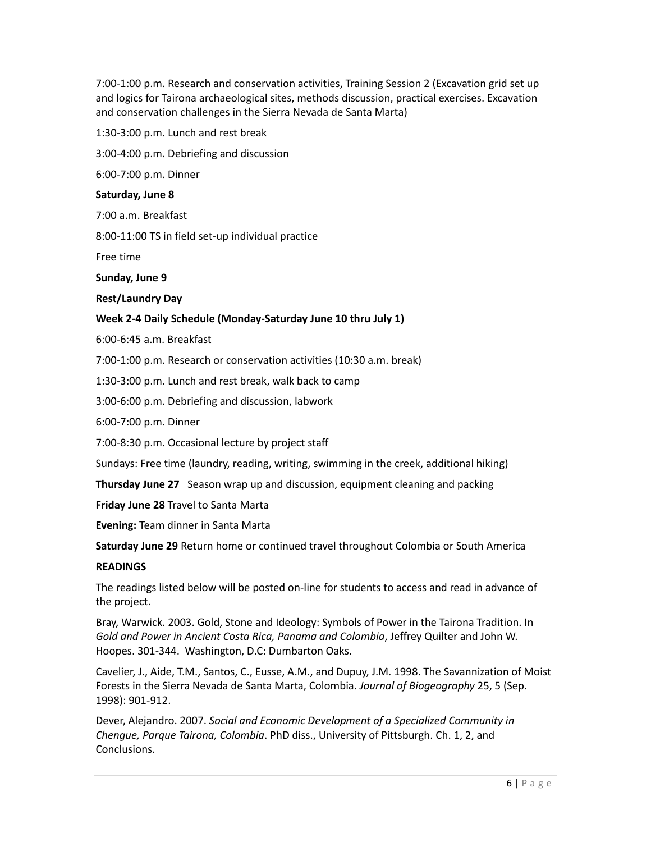7:00-1:00 p.m. Research and conservation activities, Training Session 2 (Excavation grid set up and logics for Tairona archaeological sites, methods discussion, practical exercises. Excavation and conservation challenges in the Sierra Nevada de Santa Marta)

1:30-3:00 p.m. Lunch and rest break

3:00-4:00 p.m. Debriefing and discussion

6:00-7:00 p.m. Dinner

## **Saturday, June 8**

7:00 a.m. Breakfast

8:00-11:00 TS in field set-up individual practice

Free time

**Sunday, June 9**

**Rest/Laundry Day**

## **Week 2-4 Daily Schedule (Monday-Saturday June 10 thru July 1)**

6:00-6:45 a.m. Breakfast

7:00-1:00 p.m. Research or conservation activities (10:30 a.m. break)

1:30-3:00 p.m. Lunch and rest break, walk back to camp

3:00-6:00 p.m. Debriefing and discussion, labwork

6:00-7:00 p.m. Dinner

7:00-8:30 p.m. Occasional lecture by project staff

Sundays: Free time (laundry, reading, writing, swimming in the creek, additional hiking)

**Thursday June 27** Season wrap up and discussion, equipment cleaning and packing

**Friday June 28** Travel to Santa Marta

**Evening:** Team dinner in Santa Marta

**Saturday June 29** Return home or continued travel throughout Colombia or South America

## **READINGS**

The readings listed below will be posted on-line for students to access and read in advance of the project.

Bray, Warwick. 2003. Gold, Stone and Ideology: Symbols of Power in the Tairona Tradition. In *Gold and Power in Ancient Costa Rica, Panama and Colombia*, Jeffrey Quilter and John W. Hoopes. 301-344. Washington, D.C: Dumbarton Oaks.

Cavelier, J., Aide, T.M., Santos, C., Eusse, A.M., and Dupuy, J.M. 1998. The Savannization of Moist Forests in the Sierra Nevada de Santa Marta, Colombia. *Journal of Biogeography* 25, 5 (Sep. 1998): 901-912.

Dever, Alejandro. 2007. *Social and Economic Development of a Specialized Community in Chengue, Parque Tairona, Colombia*. PhD diss., University of Pittsburgh. Ch. 1, 2, and Conclusions.